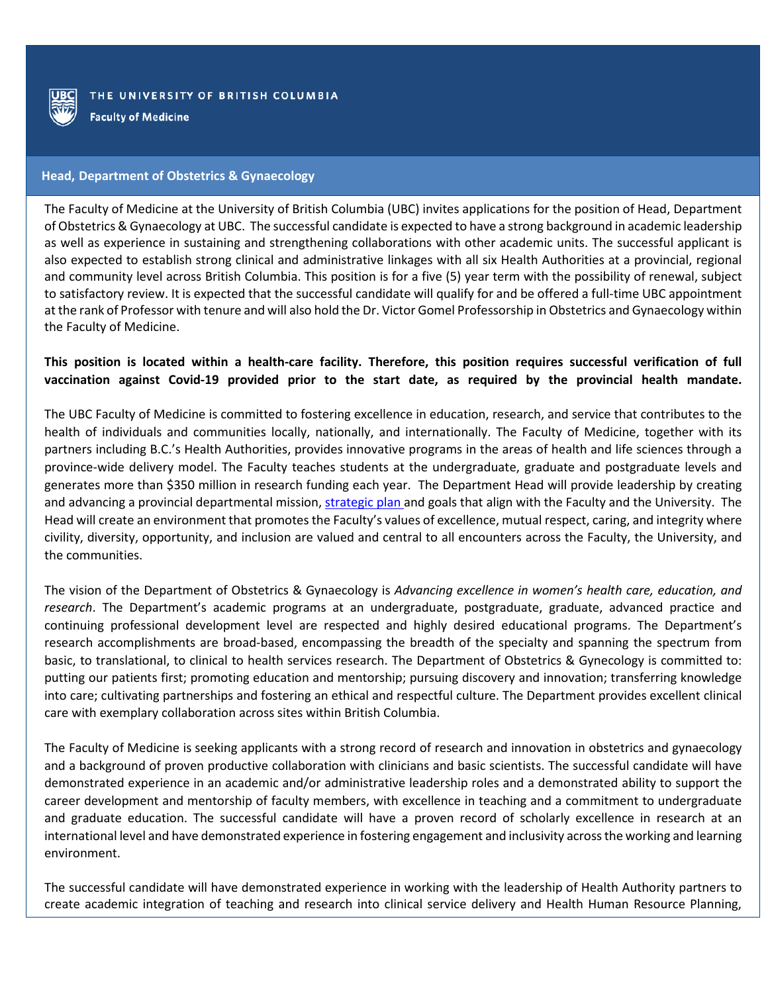

**Faculty of Medicine** 

## **Head, Department of Obstetrics & Gynaecology**

The Faculty of Medicine at the University of British Columbia (UBC) invites applications for the position of Head, Department of Obstetrics & Gynaecology at UBC. The successful candidate is expected to have a strong background in academic leadership as well as experience in sustaining and strengthening collaborations with other academic units. The successful applicant is also expected to establish strong clinical and administrative linkages with all six Health Authorities at a provincial, regional and community level across British Columbia. This position is for a five (5) year term with the possibility of renewal, subject to satisfactory review. It is expected that the successful candidate will qualify for and be offered a full-time UBC appointment at the rank of Professor with tenure and will also hold the Dr. Victor Gomel Professorship in Obstetrics and Gynaecology within the Faculty of Medicine.

## **This position is located within a health-care facility. Therefore, this position requires successful verification of full vaccination against Covid-19 provided prior to the start date, as required by the provincial health mandate.**

The UBC Faculty of Medicine is committed to fostering excellence in education, research, and service that contributes to the health of individuals and communities locally, nationally, and internationally. The Faculty of Medicine, together with its partners including B.C.'s Health Authorities, provides innovative programs in the areas of health and life sciences through a province-wide delivery model. The Faculty teaches students at the undergraduate, graduate and postgraduate levels and generates more than \$350 million in research funding each year. The Department Head will provide leadership by creating and advancing a provincial departmental mission, [strategic plan](http://stratplan.med.ubc.ca/) and goals that align with the Faculty and the University. The Head will create an environment that promotes the Faculty's values of excellence, mutual respect, caring, and integrity where civility, diversity, opportunity, and inclusion are valued and central to all encounters across the Faculty, the University, and the communities.

The vision of the Department of Obstetrics & Gynaecology is *Advancing excellence in women's health care, education, and research*. The Department's academic programs at an undergraduate, postgraduate, graduate, advanced practice and continuing professional development level are respected and highly desired educational programs. The Department's research accomplishments are broad-based, encompassing the breadth of the specialty and spanning the spectrum from basic, to translational, to clinical to health services research. The Department of Obstetrics & Gynecology is committed to: putting our patients first; promoting education and mentorship; pursuing discovery and innovation; transferring knowledge into care; cultivating partnerships and fostering an ethical and respectful culture. The Department provides excellent clinical care with exemplary collaboration across sites within British Columbia.

The Faculty of Medicine is seeking applicants with a strong record of research and innovation in obstetrics and gynaecology and a background of proven productive collaboration with clinicians and basic scientists. The successful candidate will have demonstrated experience in an academic and/or administrative leadership roles and a demonstrated ability to support the career development and mentorship of faculty members, with excellence in teaching and a commitment to undergraduate and graduate education. The successful candidate will have a proven record of scholarly excellence in research at an international level and have demonstrated experience in fostering engagement and inclusivity across the working and learning environment.

The successful candidate will have demonstrated experience in working with the leadership of Health Authority partners to create academic integration of teaching and research into clinical service delivery and Health Human Resource Planning,